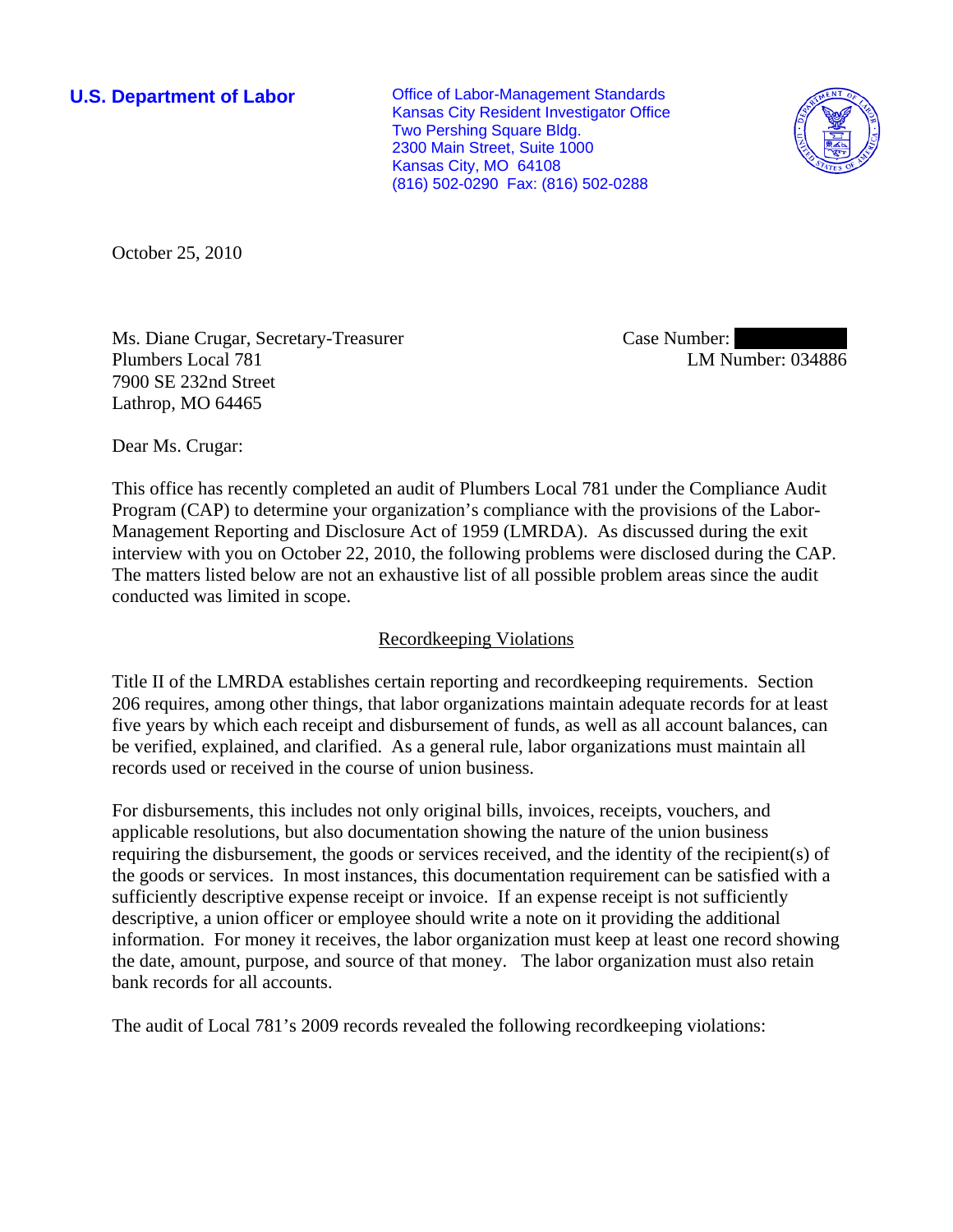**U.S. Department of Labor Conservative Conservative Conservative Conservative Conservative Conservative Conservative Conservative Conservative Conservative Conservative Conservative Conservative Conservative Conservative** Kansas City Resident Investigator Office Two Pershing Square Bldg. 2300 Main Street, Suite 1000 Kansas City, MO 64108 (816) 502-0290 Fax: (816) 502-0288



October 25, 2010

Ms. Diane Crugar, Secretary-Treasurer Plumbers Local 781 7900 SE 232nd Street Lathrop, MO 64465

Case Number: LM Number: 034886

Dear Ms. Crugar:

This office has recently completed an audit of Plumbers Local 781 under the Compliance Audit Program (CAP) to determine your organization's compliance with the provisions of the Labor-Management Reporting and Disclosure Act of 1959 (LMRDA). As discussed during the exit interview with you on October 22, 2010, the following problems were disclosed during the CAP. The matters listed below are not an exhaustive list of all possible problem areas since the audit conducted was limited in scope.

# Recordkeeping Violations

Title II of the LMRDA establishes certain reporting and recordkeeping requirements. Section 206 requires, among other things, that labor organizations maintain adequate records for at least five years by which each receipt and disbursement of funds, as well as all account balances, can be verified, explained, and clarified. As a general rule, labor organizations must maintain all records used or received in the course of union business.

For disbursements, this includes not only original bills, invoices, receipts, vouchers, and applicable resolutions, but also documentation showing the nature of the union business requiring the disbursement, the goods or services received, and the identity of the recipient(s) of the goods or services. In most instances, this documentation requirement can be satisfied with a sufficiently descriptive expense receipt or invoice. If an expense receipt is not sufficiently descriptive, a union officer or employee should write a note on it providing the additional information. For money it receives, the labor organization must keep at least one record showing the date, amount, purpose, and source of that money. The labor organization must also retain bank records for all accounts.

The audit of Local 781's 2009 records revealed the following recordkeeping violations: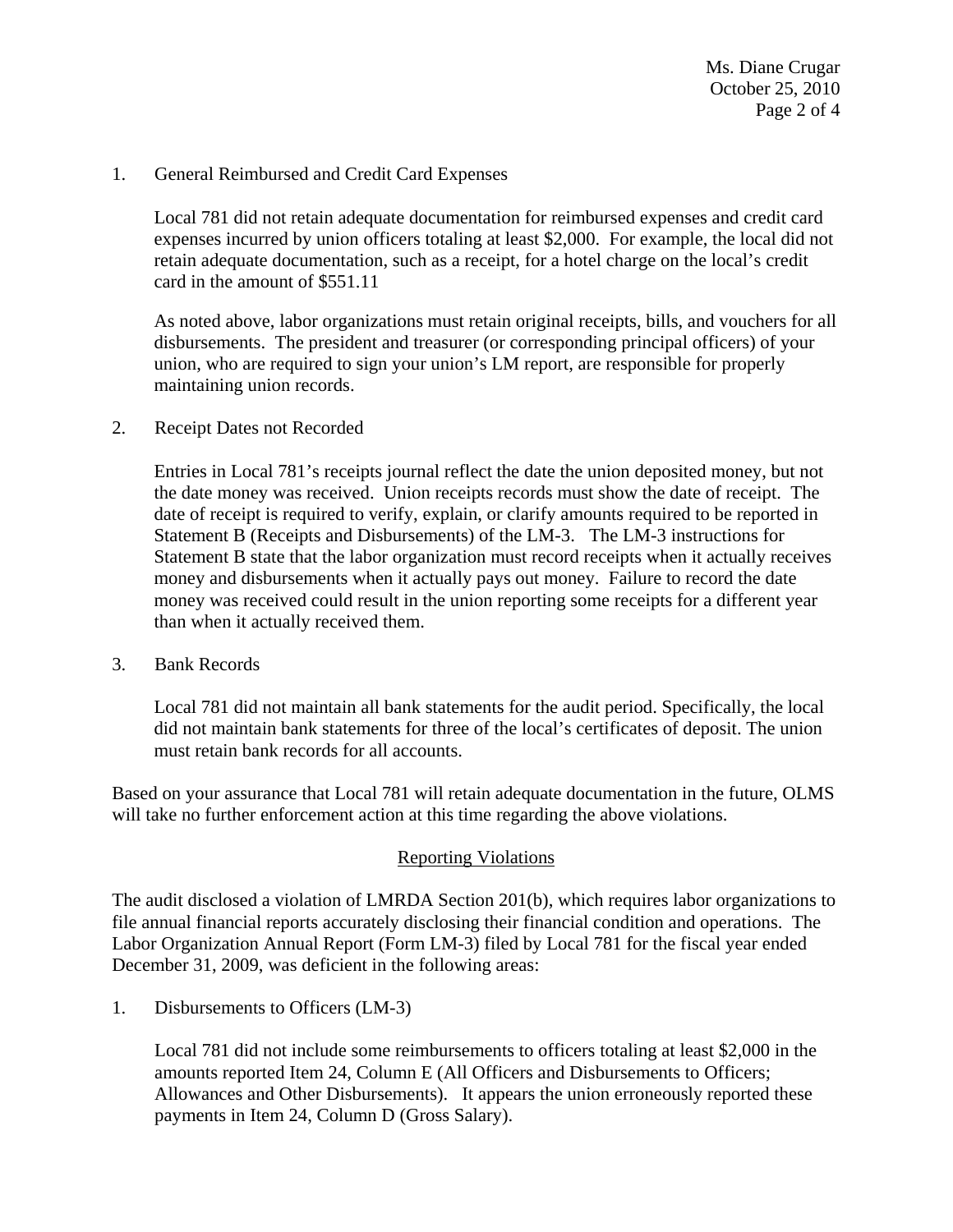Ms. Diane Crugar October 25, 2010 Page 2 of 4

## 1. General Reimbursed and Credit Card Expenses

Local 781 did not retain adequate documentation for reimbursed expenses and credit card expenses incurred by union officers totaling at least \$2,000. For example, the local did not retain adequate documentation, such as a receipt, for a hotel charge on the local's credit card in the amount of \$551.11

As noted above, labor organizations must retain original receipts, bills, and vouchers for all disbursements. The president and treasurer (or corresponding principal officers) of your union, who are required to sign your union's LM report, are responsible for properly maintaining union records.

### 2. Receipt Dates not Recorded

Entries in Local 781's receipts journal reflect the date the union deposited money, but not the date money was received. Union receipts records must show the date of receipt. The date of receipt is required to verify, explain, or clarify amounts required to be reported in Statement B (Receipts and Disbursements) of the LM-3. The LM-3 instructions for Statement B state that the labor organization must record receipts when it actually receives money and disbursements when it actually pays out money. Failure to record the date money was received could result in the union reporting some receipts for a different year than when it actually received them.

#### 3. Bank Records

Local 781 did not maintain all bank statements for the audit period. Specifically, the local did not maintain bank statements for three of the local's certificates of deposit. The union must retain bank records for all accounts.

Based on your assurance that Local 781 will retain adequate documentation in the future, OLMS will take no further enforcement action at this time regarding the above violations.

# Reporting Violations

The audit disclosed a violation of LMRDA Section 201(b), which requires labor organizations to file annual financial reports accurately disclosing their financial condition and operations. The Labor Organization Annual Report (Form LM-3) filed by Local 781 for the fiscal year ended December 31, 2009, was deficient in the following areas:

1. Disbursements to Officers (LM-3)

Local 781 did not include some reimbursements to officers totaling at least \$2,000 in the amounts reported Item 24, Column E (All Officers and Disbursements to Officers; Allowances and Other Disbursements). It appears the union erroneously reported these payments in Item 24, Column D (Gross Salary).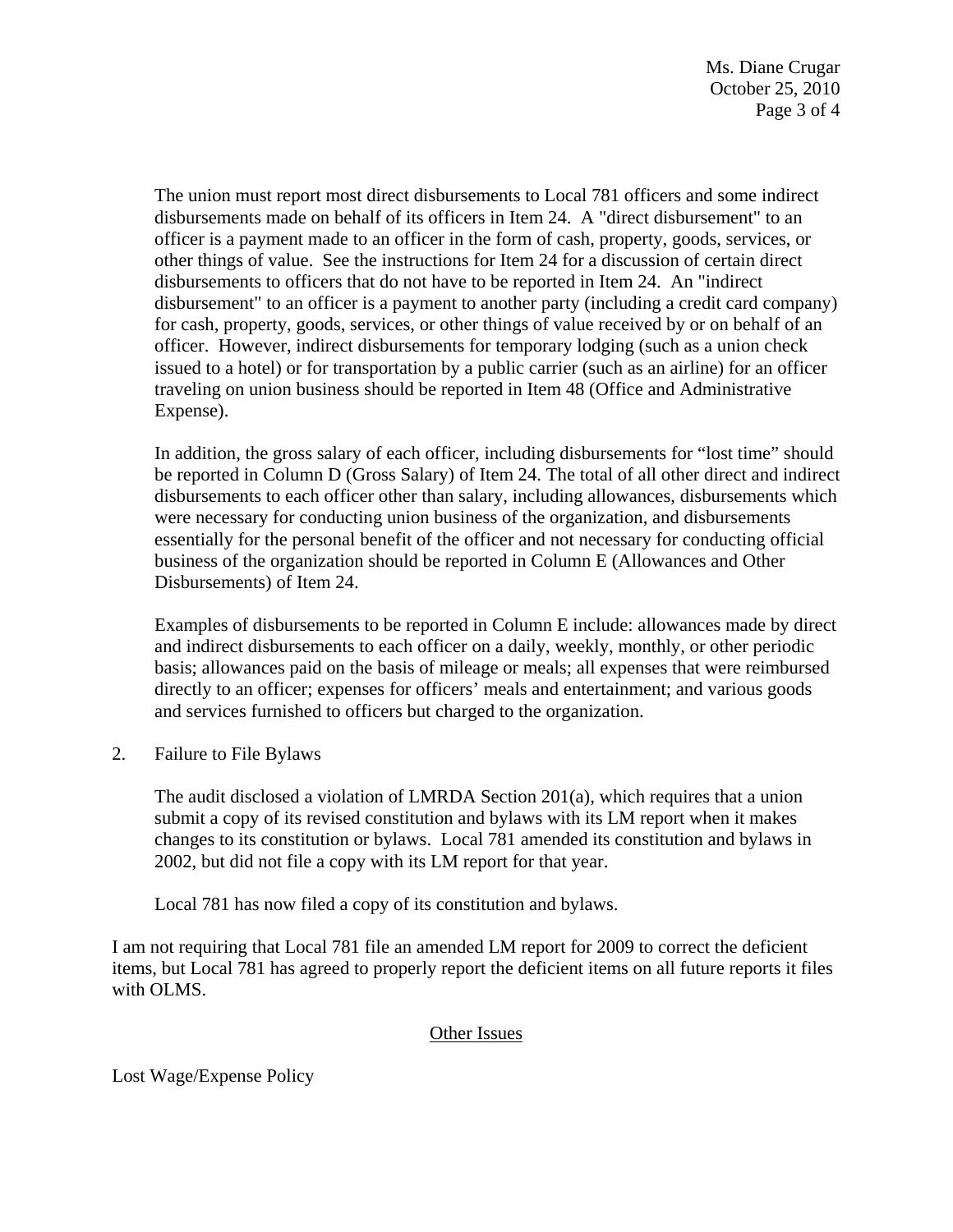Ms. Diane Crugar October 25, 2010 Page 3 of 4

The union must report most direct disbursements to Local 781 officers and some indirect disbursements made on behalf of its officers in Item 24. A "direct disbursement" to an officer is a payment made to an officer in the form of cash, property, goods, services, or other things of value. See the instructions for Item 24 for a discussion of certain direct disbursements to officers that do not have to be reported in Item 24. An "indirect disbursement" to an officer is a payment to another party (including a credit card company) for cash, property, goods, services, or other things of value received by or on behalf of an officer. However, indirect disbursements for temporary lodging (such as a union check issued to a hotel) or for transportation by a public carrier (such as an airline) for an officer traveling on union business should be reported in Item 48 (Office and Administrative Expense).

In addition, the gross salary of each officer, including disbursements for "lost time" should be reported in Column D (Gross Salary) of Item 24. The total of all other direct and indirect disbursements to each officer other than salary, including allowances, disbursements which were necessary for conducting union business of the organization, and disbursements essentially for the personal benefit of the officer and not necessary for conducting official business of the organization should be reported in Column E (Allowances and Other Disbursements) of Item 24.

Examples of disbursements to be reported in Column E include: allowances made by direct and indirect disbursements to each officer on a daily, weekly, monthly, or other periodic basis; allowances paid on the basis of mileage or meals; all expenses that were reimbursed directly to an officer; expenses for officers' meals and entertainment; and various goods and services furnished to officers but charged to the organization.

2. Failure to File Bylaws

The audit disclosed a violation of LMRDA Section 201(a), which requires that a union submit a copy of its revised constitution and bylaws with its LM report when it makes changes to its constitution or bylaws. Local 781 amended its constitution and bylaws in 2002, but did not file a copy with its LM report for that year.

Local 781 has now filed a copy of its constitution and bylaws.

I am not requiring that Local 781 file an amended LM report for 2009 to correct the deficient items, but Local 781 has agreed to properly report the deficient items on all future reports it files with OLMS.

#### Other Issues

Lost Wage/Expense Policy